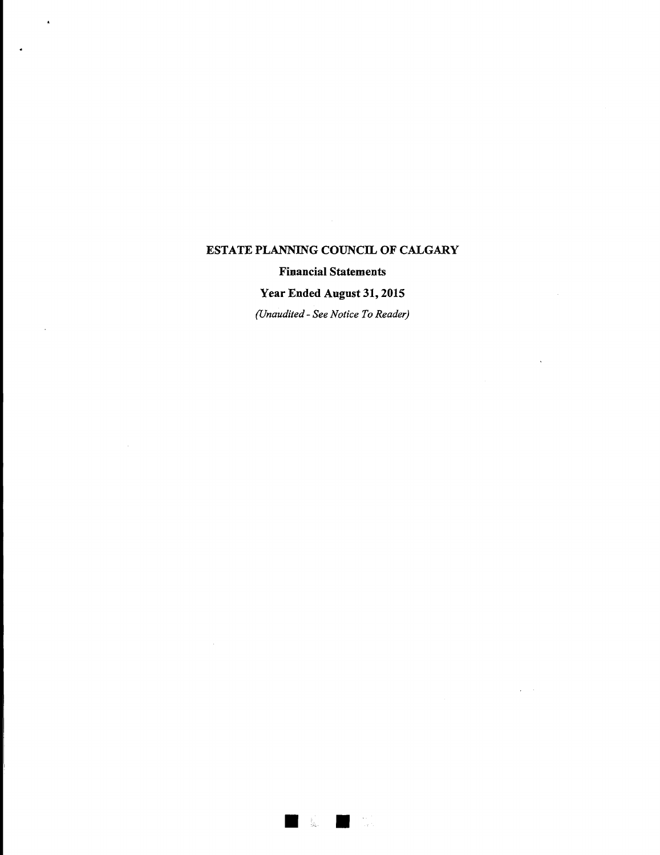$\bar{\mathbf{s}}$ 

#### **Financial Statements**

## **Year Ended August 31, 2015**

*(Unaudited- See Notice To Reader)*

 $\mathbb{R}^n$ 

ing).<br>Tala

 $\ddot{\phantom{a}}$ 

 $\bar{\beta}$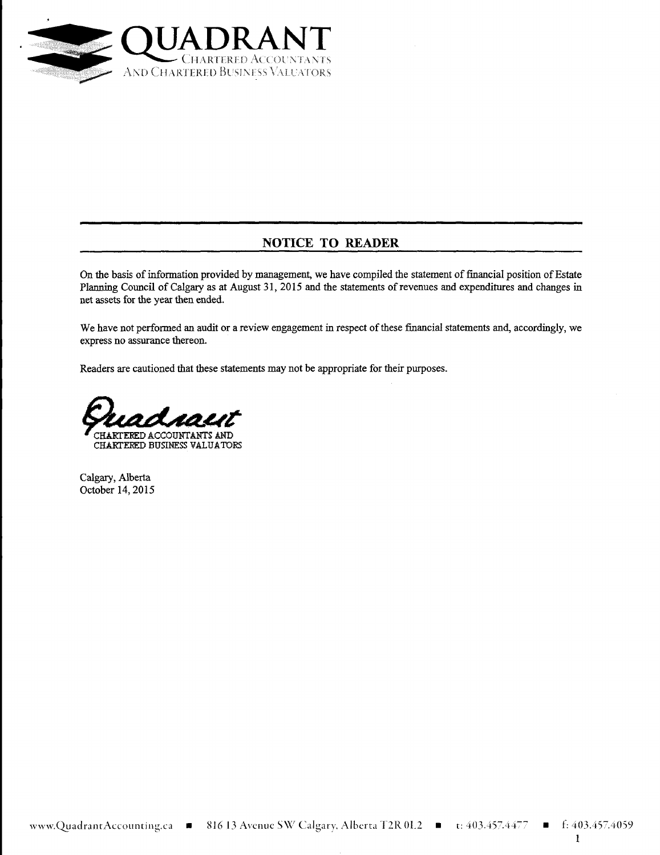

## **NOTICE TO READER**

On the basis of information provided by management, we have compiled the statement of financial position of Estate Planning Council of Calgary as at August 31, 2015 and the statements of revenues and expenditures and changes in net assets for the year then ended.

We have not performed an audit or a review engagement in respect of these financial statements and, accordingly, we express no assurance thereon.

Readers are cautioned that these statements may not be appropriate for their purposes.



Calgary, Alberta October 14, 2015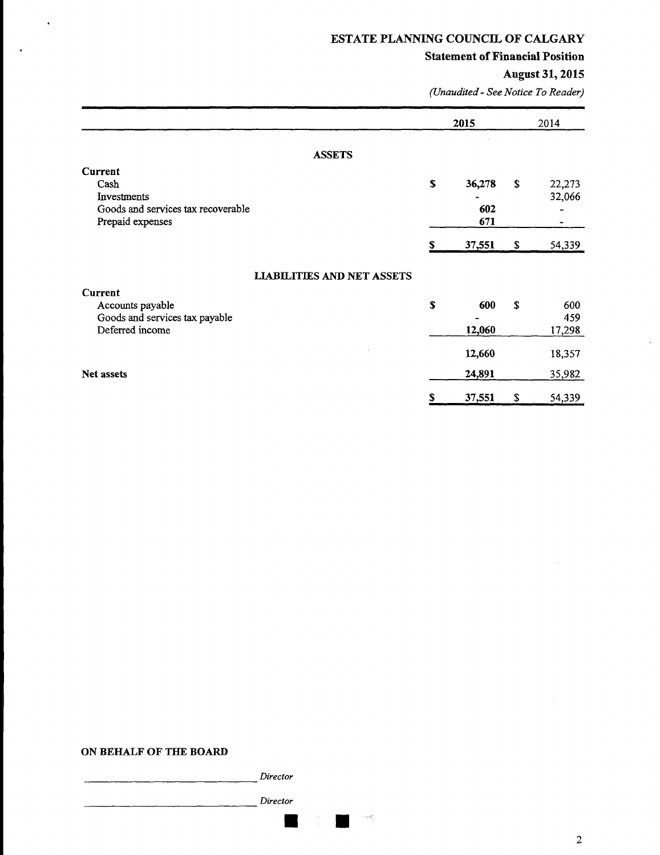#### **Statement of Financial Position**

# August 31, 2015

 $\ddot{\phantom{a}}$ 

*(Unaudited- See Notice To Reader)*

|                                                                                                 | 2015 |                      | 2014 |                       |
|-------------------------------------------------------------------------------------------------|------|----------------------|------|-----------------------|
| <b>ASSETS</b>                                                                                   |      |                      |      |                       |
| <b>Current</b><br>Cash<br>Investments<br>Goods and services tax recoverable<br>Prepaid expenses | S    | 36,278<br>602<br>671 | \$   | 22,273<br>32,066<br>- |
|                                                                                                 |      | 37,551               | \$   | 54,339                |
| <b>LIABILITIES AND NET ASSETS</b>                                                               |      |                      |      |                       |
| Current<br>Accounts payable<br>Goods and services tax payable<br>Deferred income                | S    | 600<br>12,060        | \$   | 600<br>459<br>17,298  |
| Net assets                                                                                      |      | 12,660<br>24,891     |      | 18,357<br>35,982      |
|                                                                                                 |      | 37,551               | \$   | 54,339                |

#### ON BEHALF OF THE BOARD

 $\ddot{\phantom{0}}$ 

*Director*

*Director*

 $\approx 10^{20}$ 

 $\overline{\phantom{a}}$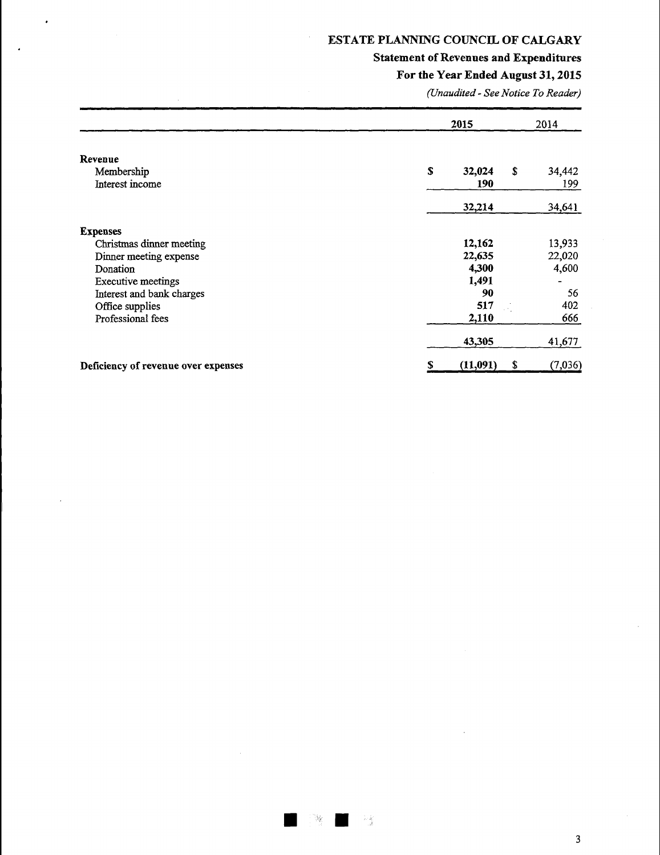# **Statement of Revenues and Expenditures**

## **For the Year Ended August** 31, 2015

*(Unaudited- See Notice To Reader)*

|                                          | 2015          | 2014                       |
|------------------------------------------|---------------|----------------------------|
| Revenue<br>Membership<br>Interest income | \$<br>32,024  | \$<br>34,442<br>190<br>199 |
|                                          | 32,214        | 34,641                     |
| <b>Expenses</b>                          |               |                            |
| Christmas dinner meeting                 | 12,162        | 13,933                     |
| Dinner meeting expense                   | 22,635        | 22,020                     |
| Donation                                 | 4,300         | 4,600                      |
| <b>Executive meetings</b>                | 1,491         |                            |
| Interest and bank charges                |               | 90<br>56                   |
| Office supplies                          |               | 402<br>517                 |
| Professional fees                        | 2,110         | 666                        |
|                                          | 43,305        | 41,677                     |
| Deficiency of revenue over expenses      | (11,091)<br>S | (7,036)<br>S               |